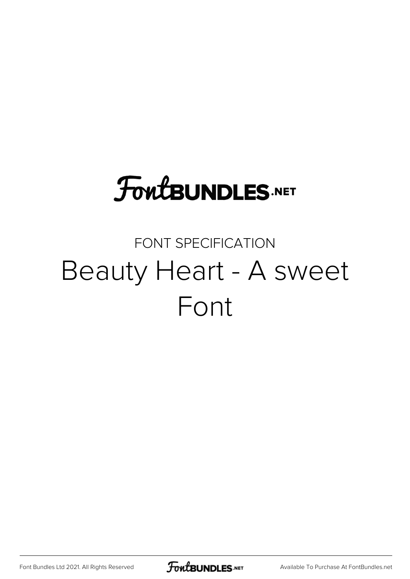# **FoutBUNDLES.NET**

### FONT SPECIFICATION Beauty Heart - A sweet Font

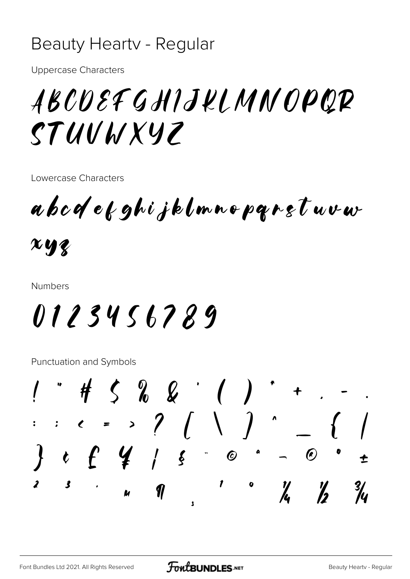#### Beauty Hearty - Regular

**Uppercase Characters** 

## ABCOEFGHIJKLMNOPQR STUUWXYZ

Lowercase Characters

abodekghijklmnoparstuvw

 $xyz$ 

**Numbers** 

# 0123456789

**Punctuation and Symbols** 

 $1$  " # 5 % & ' ( )  $\therefore$   $\qquad =$  >  $?$   $($   $\setminus$   $)$   $\sim$  $t f f$  /  $s$  0  $-$  0  $\mathbf{3}$  $\boldsymbol{z}$ 1  $\frac{\gamma}{\lambda}$  $\frac{1}{2}$  $\frac{3}{4}$  $\eta$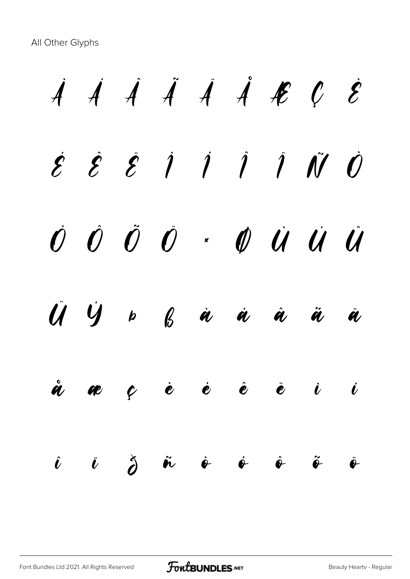All Other Glyphs

 $\dot{A}$   $\dot{A}$   $\dot{A}$   $\dot{A}$   $\dot{A}$   $\dot{B}$   $C$   $\dot{E}$  $\acute{\mathcal{E}}$   $\acute{\mathcal{E}}$   $\acute{\mathcal{E}}$   $\acute{\mathcal{I}}$   $\acute{\mathcal{I}}$   $\acute{\mathcal{I}}$   $\acute{\mathcal{I}}$   $\acute{\mathcal{U}}$   $\acute{\mathcal{O}}$  $\vec{U}$   $\vec{U}$   $\vec{U}$   $\vec{U}$   $\vec{U}$   $\vec{U}$   $\vec{U}$   $\vec{U}$   $\vec{U}$   $\vec{U}$   $\vec{U}$   $\vec{U}$   $\vec{U}$   $\vec{U}$ Ü Ý Þ ß à á â ã ä å æ ç è é ê ë ì í  $\hat{\bm{\ell}}$  i  $\breve{\bm{\delta}}$   $\hat{\bm{\kappa}}$   $\dot{\bm{\phi}}$   $\dot{\bm{\phi}}$   $\hat{\bm{\phi}}$   $\hat{\bm{\phi}}$   $\hat{\bm{\phi}}$